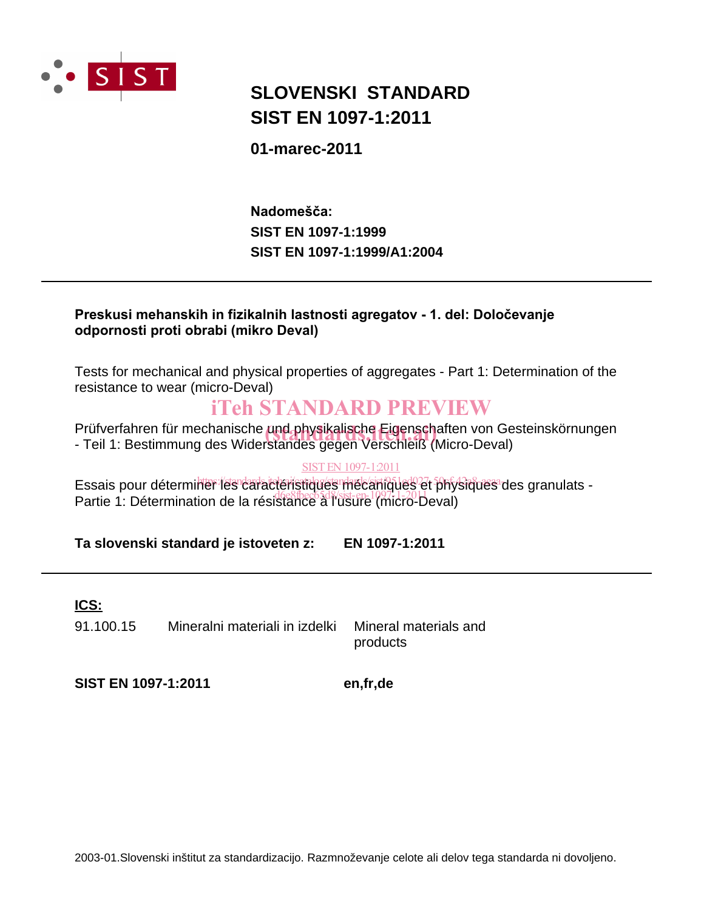

# **SIST EN 1097-1:2011 SLOVENSKI STANDARD**

**01-marec-2011**

**SIST EN 1097-1:1999/A1:2004 SIST EN 1097-1:1999** Nadomešča:

### Preskusi mehanskih in fizikalnih lastnosti agregatov - 1. del: Določevanje **odpornosti proti obrabi (mikro Deval)**

Tests for mechanical and physical properties of aggregates - Part 1: Determination of the resistance to wear (micro-Deval)

# iTeh STANDARD PREVIEW

Prüfverfahren für mechanische und physikalische Eigenschaften von Gesteinskörnungen<br>- Teil 1: Bestimmung des Widerstandes gegen Verschleiß (Micro-Deval) - Teil 1: Bestimmung des Widerstandes gegen Verschleiß (Micro-Deval)

#### SIST EN 1097-1:2011

Essais pour déterminer les caractèristiques mécaniques et physiques des granulats -Leccio peur actemmentos caracteristas de modulado presentar principal.<br>Partie 1: Détermination de la résistance à l'usure (micro-Deval)

**Ta slovenski standard je istoveten z: EN 1097-1:2011**

**ICS:**

91.100.15 Mineralni materiali in izdelki Mineral materials and

products

**SIST EN 1097-1:2011 en,fr,de**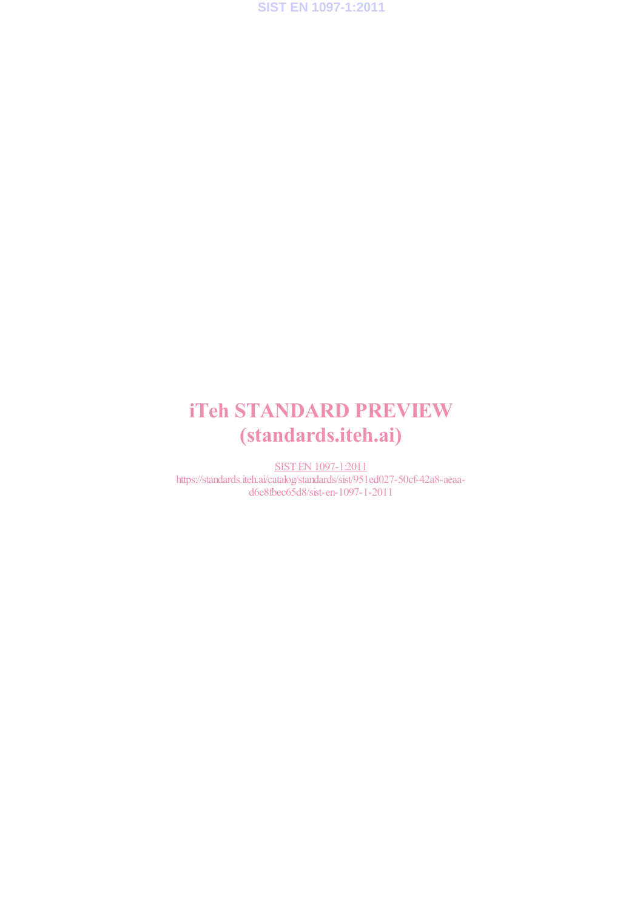**SIST EN 1097-1:2011**

# iTeh STANDARD PREVIEW (standards.iteh.ai)

SIST EN 1097-1:2011 https://standards.iteh.ai/catalog/standards/sist/951ed027-50cf-42a8-aeaad6e8fbec65d8/sist-en-1097-1-2011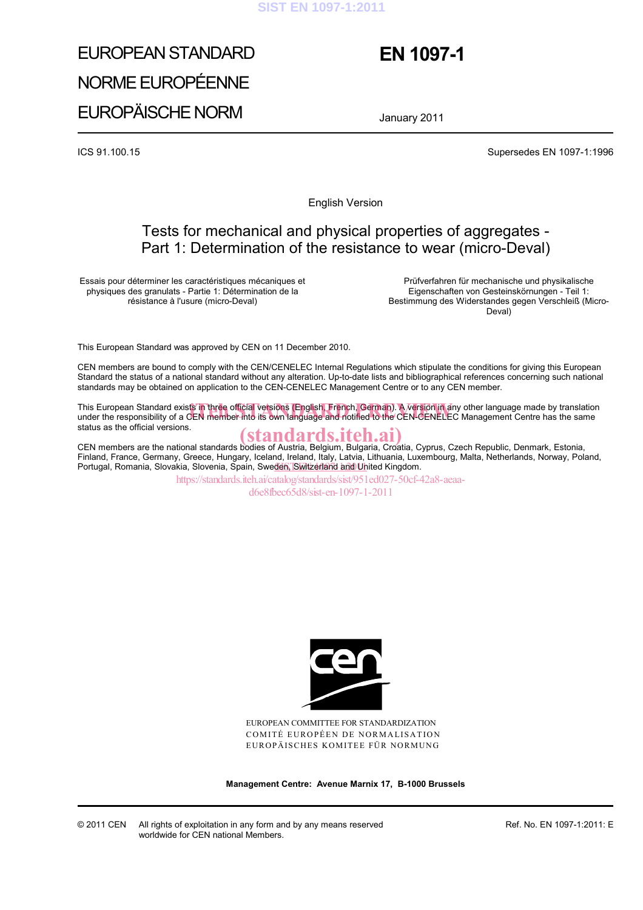#### **SIST EN 1097-1:2011**

# EUROPEAN STANDARD NORME EUROPÉENNE EUROPÄISCHE NORM

# **EN 1097-1**

January 2011

ICS 91.100.15 Supersedes EN 1097-1:1996

English Version

### Tests for mechanical and physical properties of aggregates - Part 1: Determination of the resistance to wear (micro-Deval)

Essais pour déterminer les caractéristiques mécaniques et physiques des granulats - Partie 1: Détermination de la résistance à l'usure (micro-Deval)

 Prüfverfahren für mechanische und physikalische Eigenschaften von Gesteinskörnungen - Teil 1: Bestimmung des Widerstandes gegen Verschleiß (Micro-Deval)

This European Standard was approved by CEN on 11 December 2010.

CEN members are bound to comply with the CEN/CENELEC Internal Regulations which stipulate the conditions for giving this European Standard the status of a national standard without any alteration. Up-to-date lists and bibliographical references concerning such national standards may be obtained on application to the CEN-CENELEC Management Centre or to any CEN member.

This European Standard exists in three official versions (English, French, German). A version in any other language made by translation<br>under the responsibility of a CEN member into its own language and notified to the CEN under the responsibility of a CEN member into its own language and notified to the CEN-CENELEC Management Centre has the same status as the official versions.

status as the official versions.<br>CEN members are the national standards bodies of Austria, Belgium, Bulgaria, Croatia, Cyprus, Czech Republic, Denmark, Estonia, Finland, France, Germany, Greece, Hungary, Iceland, Ireland, Italy, Latvia, Lithuania, Luxembourg, Malta, Netherlands, Norway, Poland, Portugal, Romania, Slovakia, Slovenia, Špain, Swe<u>den, Switzerland and Un</u>ited Kingdom.

https://standards.iteh.ai/catalog/standards/sist/951ed027-50cf-42a8-aeaa-

d6e8fbec65d8/sist-en-1097-1-2011



EUROPEAN COMMITTEE FOR STANDARDIZATION COMITÉ EUROPÉEN DE NORMALISATION EUROPÄISCHES KOMITEE FÜR NORMUNG

**Management Centre: Avenue Marnix 17, B-1000 Brussels**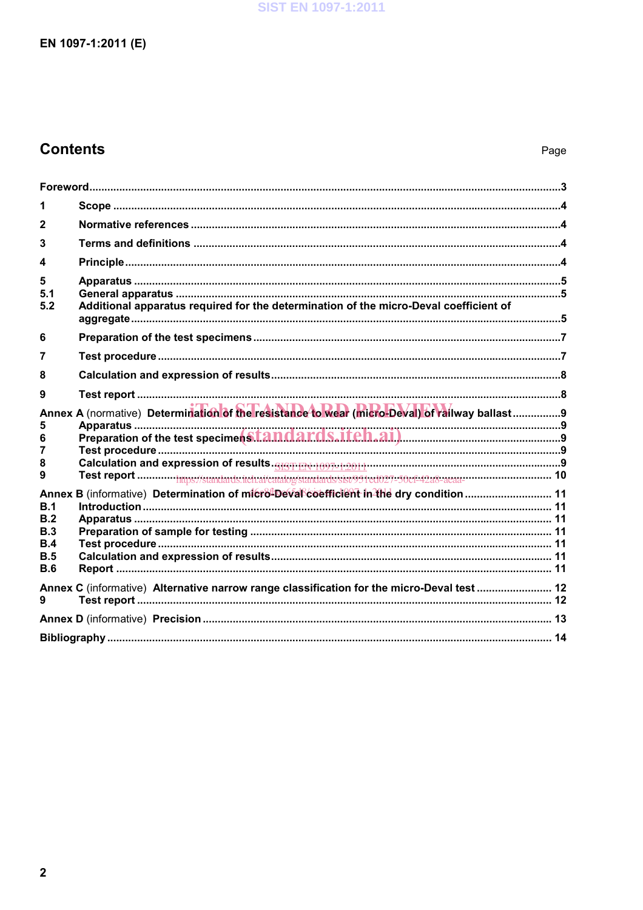## **Contents**

| 1                                      |                                                                                                |  |  |
|----------------------------------------|------------------------------------------------------------------------------------------------|--|--|
| $\mathbf{2}$                           |                                                                                                |  |  |
| 3                                      |                                                                                                |  |  |
| 4                                      |                                                                                                |  |  |
| 5<br>5.1<br>5.2                        | Additional apparatus required for the determination of the micro-Deval coefficient of          |  |  |
| 6                                      |                                                                                                |  |  |
| 7                                      |                                                                                                |  |  |
| 8                                      |                                                                                                |  |  |
| 9                                      |                                                                                                |  |  |
| 5<br>6<br>7<br>8<br>9                  | Annex A (normative) Determination of the resistance to wear (micro-Deval) of railway ballast 9 |  |  |
| B.1<br>B.2<br>B.3<br>B.4<br>B.5<br>B.6 | Annex B (informative) Determination of microfDeval coefficient in the dry condition  11        |  |  |
| 9                                      | Annex C (informative) Alternative narrow range classification for the micro-Deval test  12     |  |  |
|                                        |                                                                                                |  |  |
|                                        |                                                                                                |  |  |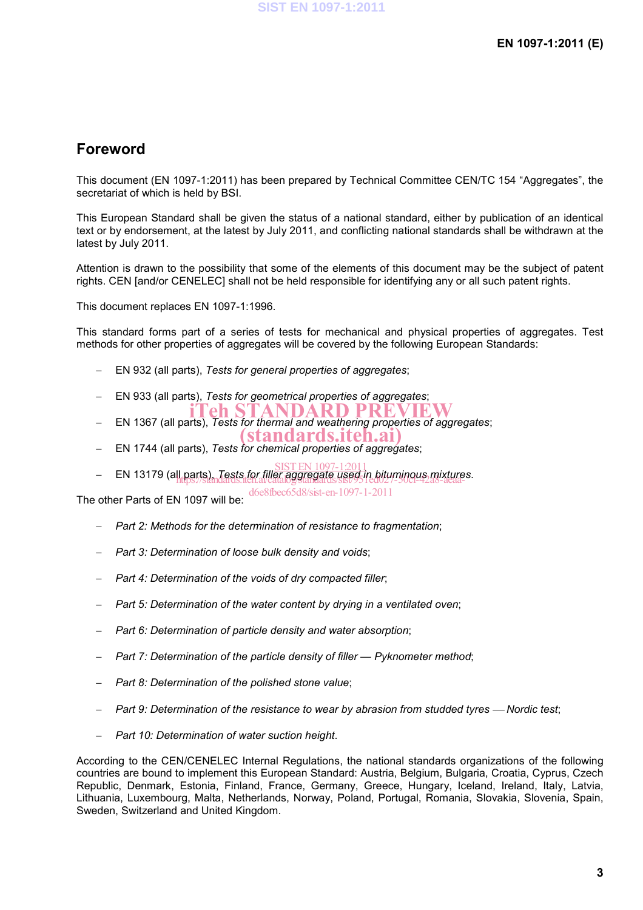### **Foreword**

This document (EN 1097-1:2011) has been prepared by Technical Committee CEN/TC 154 "Aggregates", the secretariat of which is held by BSI.

This European Standard shall be given the status of a national standard, either by publication of an identical text or by endorsement, at the latest by July 2011, and conflicting national standards shall be withdrawn at the latest by July 2011.

Attention is drawn to the possibility that some of the elements of this document may be the subject of patent rights. CEN [and/or CENELEC] shall not be held responsible for identifying any or all such patent rights.

This document replaces EN 1097-1:1996.

This standard forms part of a series of tests for mechanical and physical properties of aggregates. Test methods for other properties of aggregates will be covered by the following European Standards:

- − EN 932 (all parts), *Tests for general properties of aggregates*;
- − EN 933 (all parts), *Tests for geometrical properties of aggregates*;
- − EN 1367 (all parts), *Tests for thermal and weathering properties of aggregates*; eh STANDARD PREVIE (standards.iteh.ai)
- − EN 1744 (all parts), *Tests for chemical properties of aggregates*;
- − EN 13179 (all parts), *Tests for filler aggregate used in bituminous mixtures*. SIST EN 1097-1:2011 httparts), Tests for filler aggregate used-in biturninous mixture<br>https://standards.iteh.ai/catalog/standards/sist/951ed027-50ci-42a8-aeaa-

The other Parts of EN 1097 will be: d6e8fbec65d8/sist-en-1097-1-2011

− *Part 2: Methods for the determination of resistance to fragmentation*;

- 
- − *Part 3: Determination of loose bulk density and voids*;
- − *Part 4: Determination of the voids of dry compacted filler*;
- − *Part 5: Determination of the water content by drying in a ventilated oven*;
- − *Part 6: Determination of particle density and water absorption*;
- − *Part 7: Determination of the particle density of filler Pyknometer method*;
- − *Part 8: Determination of the polished stone value*;
- − *Part 9: Determination of the resistance to wear by abrasion from studded tyres Nordic test*;
- − *Part 10: Determination of water suction height*.

According to the CEN/CENELEC Internal Regulations, the national standards organizations of the following countries are bound to implement this European Standard: Austria, Belgium, Bulgaria, Croatia, Cyprus, Czech Republic, Denmark, Estonia, Finland, France, Germany, Greece, Hungary, Iceland, Ireland, Italy, Latvia, Lithuania, Luxembourg, Malta, Netherlands, Norway, Poland, Portugal, Romania, Slovakia, Slovenia, Spain, Sweden, Switzerland and United Kingdom.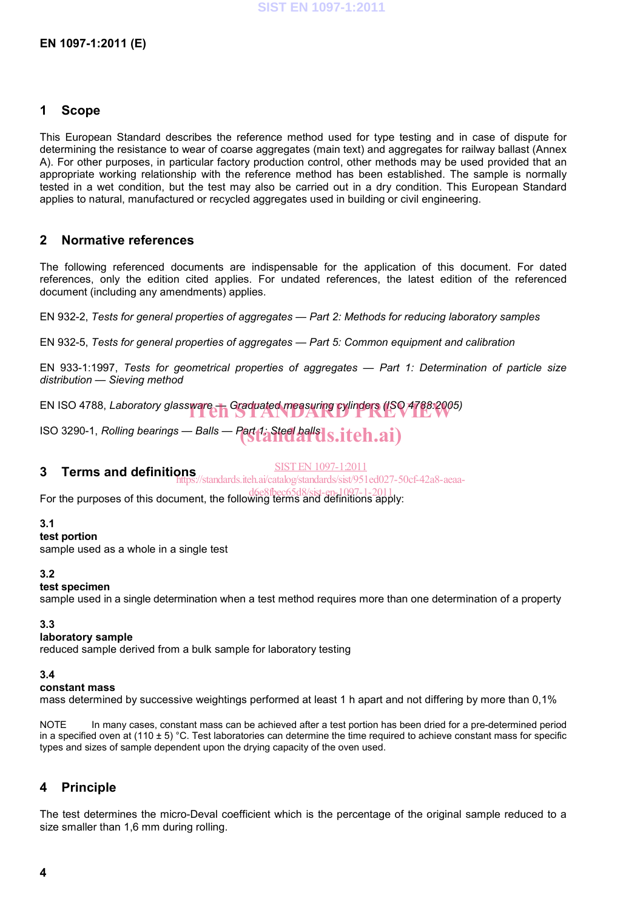#### **1 Scope**

This European Standard describes the reference method used for type testing and in case of dispute for determining the resistance to wear of coarse aggregates (main text) and aggregates for railway ballast (Annex A). For other purposes, in particular factory production control, other methods may be used provided that an appropriate working relationship with the reference method has been established. The sample is normally tested in a wet condition, but the test may also be carried out in a dry condition. This European Standard applies to natural, manufactured or recycled aggregates used in building or civil engineering.

#### **2 Normative references**

The following referenced documents are indispensable for the application of this document. For dated references, only the edition cited applies. For undated references, the latest edition of the referenced document (including any amendments) applies.

EN 932-2, *Tests for general properties of aggregates — Part 2: Methods for reducing laboratory samples* 

EN 932-5, *Tests for general properties of aggregates — Part 5: Common equipment and calibration* 

EN 933-1:1997, *Tests for geometrical properties of aggregates — Part 1: Determination of particle size distribution — Sieving method*

EN ISO 4788, *Laboratory glassware* — Graduated measuring cylinders (ISO 4788:2005)

ISO 3290-1, *Rolling bearings — Balls — Part 1: Steel ball S.iteh.ai*)

#### SIST EN 1097-1:2011

**3 Terms and definitions**  https://standards.iteh.ai/catalog/standards/sist/951ed027-50cf-42a8-aeaa-

For the purposes of this document, the following terms and definitions apply:

#### **3.1**

#### **test portion**

sample used as a whole in a single test

#### **3.2**

#### **test specimen**

sample used in a single determination when a test method requires more than one determination of a property

#### **3.3**

#### **laboratory sample**

reduced sample derived from a bulk sample for laboratory testing

#### **3.4**

#### **constant mass**

mass determined by successive weightings performed at least 1 h apart and not differing by more than 0,1%

NOTE In many cases, constant mass can be achieved after a test portion has been dried for a pre-determined period in a specified oven at (110  $\pm$  5) °C. Test laboratories can determine the time required to achieve constant mass for specific types and sizes of sample dependent upon the drying capacity of the oven used.

#### **4 Principle**

The test determines the micro-Deval coefficient which is the percentage of the original sample reduced to a size smaller than 1,6 mm during rolling.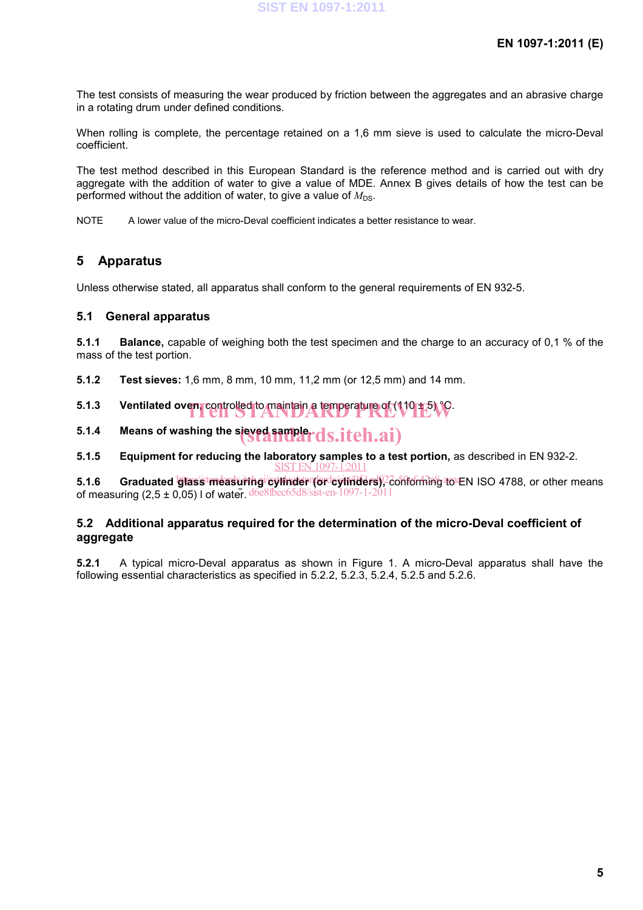The test consists of measuring the wear produced by friction between the aggregates and an abrasive charge in a rotating drum under defined conditions.

When rolling is complete, the percentage retained on a 1,6 mm sieve is used to calculate the micro-Deval coefficient.

The test method described in this European Standard is the reference method and is carried out with dry aggregate with the addition of water to give a value of MDE. Annex B gives details of how the test can be performed without the addition of water, to give a value of  $M_{\text{DS}}$ .

NOTE A lower value of the micro-Deval coefficient indicates a better resistance to wear.

### **5 Apparatus**

Unless otherwise stated, all apparatus shall conform to the general requirements of EN 932-5.

#### **5.1 General apparatus**

**5.1.1 Balance,** capable of weighing both the test specimen and the charge to an accuracy of 0,1 % of the mass of the test portion.

**5.1.2 Test sieves:** 1,6 mm, 8 mm, 10 mm, 11,2 mm (or 12,5 mm) and 14 mm.

**5.1.3** Ventilated oven, controlled to maintain a temperature of (110 ± 5)  $\sqrt{C}$ .

5.1.4 Means of washing the sieved samplerds.itch.ai)

**5.1.5 Equipment for reducing the laboratory samples to a test portion,** as described in EN 932-2. SIST EN 1097-1:2011

5.1.6 Graduated **glass measuring** eyilnder (or eyilnders), conforming to EN ISO 4788, or other means of measuring  $(2.5 \pm 0.05)$  I of water. d6e8fbec65d8/sist-en-1097-1-2011

#### **5.2 Additional apparatus required for the determination of the micro-Deval coefficient of aggregate**

**5.2.1** A typical micro-Deval apparatus as shown in Figure 1. A micro-Deval apparatus shall have the following essential characteristics as specified in 5.2.2, 5.2.3, 5.2.4, 5.2.5 and 5.2.6.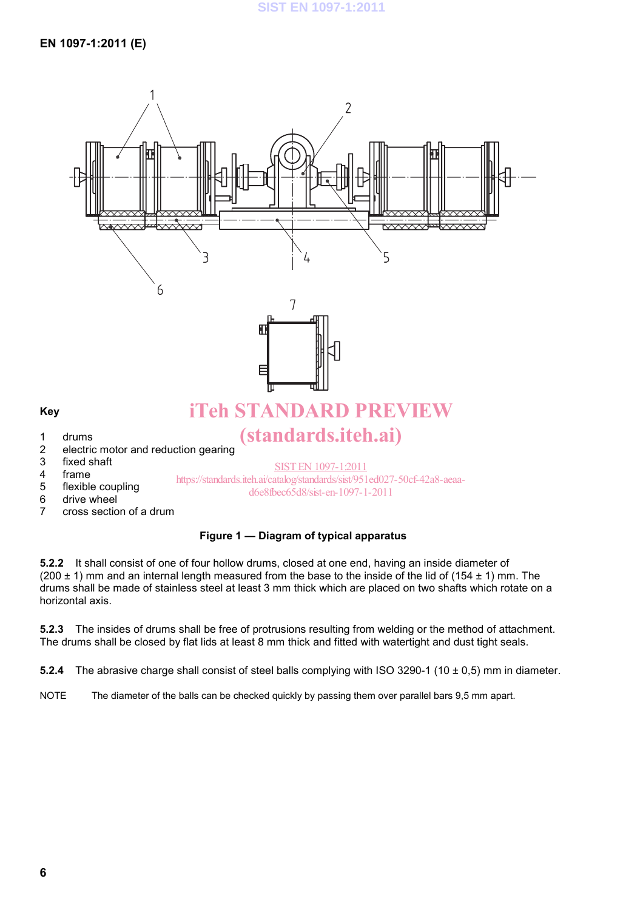

6 drive wheel

**Key** 

7 cross section of a drum

# **Figure 1 — Diagram of typical apparatus**

**5.2.2** It shall consist of one of four hollow drums, closed at one end, having an inside diameter of  $(200 \pm 1)$  mm and an internal length measured from the base to the inside of the lid of (154  $\pm$  1) mm. The drums shall be made of stainless steel at least 3 mm thick which are placed on two shafts which rotate on a horizontal axis.

**5.2.3** The insides of drums shall be free of protrusions resulting from welding or the method of attachment. The drums shall be closed by flat lids at least 8 mm thick and fitted with watertight and dust tight seals.

**5.2.4** The abrasive charge shall consist of steel balls complying with ISO 3290-1 (10 ± 0,5) mm in diameter.

NOTE The diameter of the balls can be checked quickly by passing them over parallel bars 9,5 mm apart.